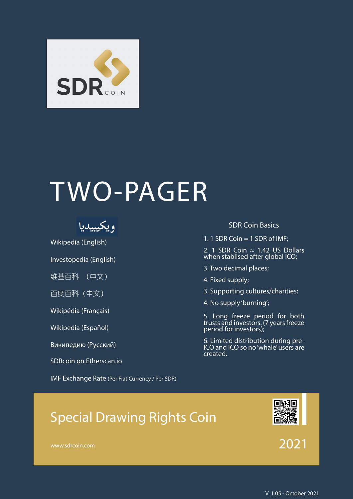

# TWO-PAGER



[Wikipedia \(English\)](https://en.wikipedia.org/wiki/Special_drawing_rights) 

[Investopedia \(English\)](https://www.investopedia.com/terms/s/sdr.asp) 

[维基百科 \(中文\)](https://zh.wikipedia.org/wiki/%E7%89%B9%E5%88%AB%E6%8F%90%E6%AC%BE%E6%9D%83)

[百度百科\(中文\)](https://baike.baidu.com/item/%E7%89%B9%E5%88%AB%E6%8F%90%E6%AC%BE%E6%9D%83/248098?fr=aladdin)

[Wikipédia \(Français\)](https://fr.wikipedia.org/wiki/Droits_de_tirage_sp%C3%A9ciaux) 

[Wikipedia \(Español\)](https://es.wikipedia.org/wiki/Derechos_especiales_de_giro)

[Википедию \(Русский\)](https://ru.wikipedia.org/wiki/%D0%A1%D0%BF%D0%B5%D1%86%D0%B8%D0%B0%D0%BB%D1%8C%D0%BD%D1%8B%D0%B5_%D0%BF%D1%80%D0%B0%D0%B2%D0%B0_%D0%B7%D0%B0%D0%B8%D0%BC%D1%81%D1%82%D0%B2%D0%BE%D0%B2%D0%B0%D0%BD%D0%B8%D1%8F) 

[SDRcoin on Etherscan.io](https://etherscan.io/token/0xafc52455e5f412a20f75f459f227aad61de58450)

[IMF Exchange Rate \(Per Fiat Currency /](https://www.imf.org/external/np/fin/data/rms_five.aspx) Per SDR)

#### SDR Coin Basics

1. 1 SDR Coin  $=$  1 SDR of IMF;

2. 1 SDR Coin  $≈$  1.42 US Dollars when stablised after global ICO;

3. Two decimal places;

4. Fixed supply;

3. Supporting cultures/charities;

4. No supply 'burning';

5. Long freeze period for both trusts and investors. (7 years freeze period for investors);

6. Limited distribution during pre-ICO and ICO so no 'whale' users are created.

# Special Drawing Rights Coin



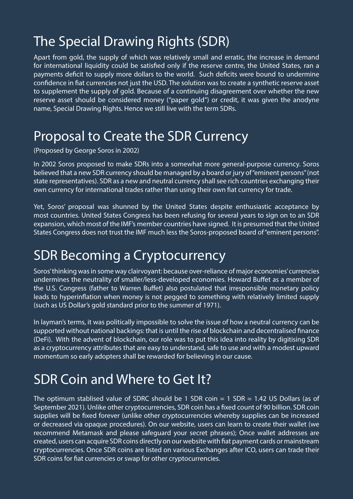# The Special Drawing Rights (SDR)

Apart from gold, the supply of which was relatively small and erratic, the increase in demand for international liquidity could be satisfied only if the reserve centre, the United States, ran a payments deficit to supply more dollars to the world. Such deficits were bound to undermine confidence in fiat currencies not just the USD. The solution was to create a synthetic reserve asset to supplement the supply of gold. Because of a continuing disagreement over whether the new reserve asset should be considered money ("paper gold") or credit, it was given the anodyne name, Special Drawing Rights. Hence we still live with the term SDRs.

### Proposal to Create the SDR Currency

(Proposed by George Soros in 2002)

In 2002 Soros proposed to make SDRs into a somewhat more general-purpose currency. Soros believed that a new SDR currency should be managed by a board or jury of "eminent persons" (not state representatives). SDR as a new and neutral currency shall see rich countries exchanging their own currency for international trades rather than using their own fiat currency for trade.

Yet, Soros' proposal was shunned by the United States despite enthusiastic acceptance by most countries. United States Congress has been refusing for several years to sign on to an SDR expansion, which most of the IMF's member countries have signed. It is presumed that the United States Congress does not trust the IMF much less the Soros-proposed board of "eminent persons".

#### SDR Becoming a Cryptocurrency

Soros' thinking was in some way clairvoyant: because over-reliance of major economies' currencies undermines the neutrality of smaller/less-developed economies. Howard Buffet as a member of the U.S. Congress (father to Warren Buffet) also postulated that irresponsible monetary policy leads to hyperinflation when money is not pegged to something with relatively limited supply (such as US Dollar's gold standard prior to the summer of 1971).

In layman's terms, it was politically impossible to solve the issue of how a neutral currency can be supported without national backings: that is until the rise of blockchain and decentralised finance (DeFi). With the advent of blockchain, our role was to put this idea into reality by digitising SDR as a cryptocurrency attributes that are easy to understand, safe to use and with a modest upward momentum so early adopters shall be rewarded for believing in our cause.

#### SDR Coin and Where to Get It?

The optimum stablised value of SDRC should be 1 SDR coin = 1 SDR  $\approx$  1.42 US Dollars (as of September 2021). Unlike other cryptocurrencies, SDR coin has a fixed count of 90 billion. SDR coin supplies will be fixed forever (unlike other cryptocurrencies whereby supplies can be increased or decreased via opaque procedures). On our [website,](http://www.sdrcoin.com) users can learn to create their wallet (we recommend [Metamask](http://metamask.io) and please safeguard your secret phrases); Once wallet addresses are created, users can acquire SDR coins directly on our website with fiat payment cards or mainstream cryptocurrencies. Once SDR coins are listed on various Exchanges after ICO, users can trade their SDR coins for fiat currencies or swap for other cryptocurrencies.